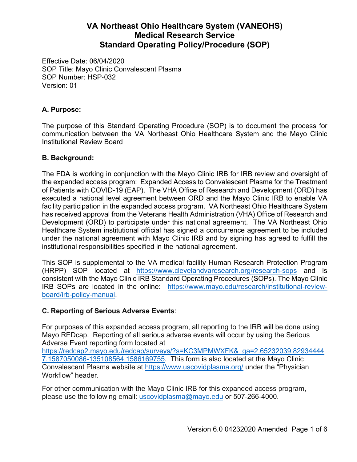Effective Date: 06/04/2020 SOP Title: Mayo Clinic Convalescent Plasma SOP Number: HSP-032 Version: 01

### **A. Purpose:**

The purpose of this Standard Operating Procedure (SOP) is to document the process for communication between the VA Northeast Ohio Healthcare System and the Mayo Clinic Institutional Review Board

### **B. Background:**

The FDA is working in conjunction with the Mayo Clinic IRB for IRB review and oversight of the expanded access program: Expanded Access to Convalescent Plasma for the Treatment of Patients with COVID-19 (EAP). The VHA Office of Research and Development (ORD) has executed a national level agreement between ORD and the Mayo Clinic IRB to enable VA facility participation in the expanded access program. VA Northeast Ohio Healthcare System has received approval from the Veterans Health Administration (VHA) Office of Research and Development (ORD) to participate under this national agreement. The VA Northeast Ohio Healthcare System institutional official has signed a concurrence agreement to be included under the national agreement with Mayo Clinic IRB and by signing has agreed to fulfill the institutional responsibilities specified in the national agreement.

This SOP is supplemental to the VA medical facility Human Research Protection Program (HRPP) SOP located at https://www.clevelandvaresearch.org/research-sops and is consistent with the Mayo Clinic IRB Standard Operating Procedures (SOPs). The Mayo Clinic IRB SOPs are located in the online: https://www.mayo.edu/research/institutional-reviewboard/irb-policy-manual.

### **C. Reporting of Serious Adverse Events**:

For purposes of this expanded access program, all reporting to the IRB will be done using Mayo REDcap. Reporting of all serious adverse events will occur by using the Serious Adverse Event reporting form located at https://redcap2.mayo.edu/redcap/surveys/?s=KC3MPMWXFK&\_ga=2.65232039.82934444 7.1587050086-135108564.1586169755. This form is also located at the Mayo Clinic Convalescent Plasma website at https://www.uscovidplasma.org/ under the "Physician Workflow" header.

For other communication with the Mayo Clinic IRB for this expanded access program, please use the following email: uscovidplasma@mayo.edu or 507-266-4000.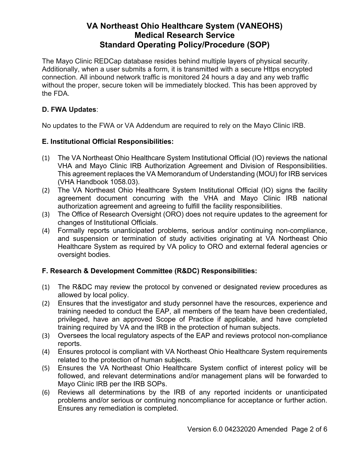The Mayo Clinic REDCap database resides behind multiple layers of physical security. Additionally, when a user submits a form, it is transmitted with a secure Https encrypted connection. All inbound network traffic is monitored 24 hours a day and any web traffic without the proper, secure token will be immediately blocked. This has been approved by the FDA.

### **D. FWA Updates**:

No updates to the FWA or VA Addendum are required to rely on the Mayo Clinic IRB.

#### **E. Institutional Official Responsibilities:**

- VHA and Mayo Clinic IRB Authorization Agreement and Division of Responsibilities. (1) The VA Northeast Ohio Healthcare System Institutional Official (IO) reviews the national This agreement replaces the VA Memorandum of Understanding (MOU) for IRB services (VHA Handbook 1058.03).
- (2) The VA Northeast Ohio Healthcare System Institutional Official (IO) signs the facility agreement document concurring with the VHA and Mayo Clinic IRB national authorization agreement and agreeing to fulfill the facility responsibilities.
- (3) The Office of Research Oversight (ORO) does not require updates to the agreement for changes of Institutional Officials.
- (4) Formally reports unanticipated problems, serious and/or continuing non-compliance, and suspension or termination of study activities originating at VA Northeast Ohio Healthcare System as required by VA policy to ORO and external federal agencies or oversight bodies.

#### **F. Research & Development Committee (R&DC) Responsibilities:**

- allowed by local policy. (1) The R&DC may review the protocol by convened or designated review procedures as
- (2) Ensures that the investigator and study personnel have the resources, experience and training needed to conduct the EAP, all members of the team have been credentialed, privileged, have an approved Scope of Practice if applicable, and have completed training required by VA and the IRB in the protection of human subjects.
- (3) Oversees the local regulatory aspects of the EAP and reviews protocol non-compliance reports.
- (4) Ensures protocol is compliant with VA Northeast Ohio Healthcare System requirements related to the protection of human subjects.
- (5) Ensures the VA Northeast Ohio Healthcare System conflict of interest policy will be followed, and relevant determinations and/or management plans will be forwarded to Mayo Clinic IRB per the IRB SOPs.
- (6) Reviews all determinations by the IRB of any reported incidents or unanticipated problems and/or serious or continuing noncompliance for acceptance or further action. Ensures any remediation is completed.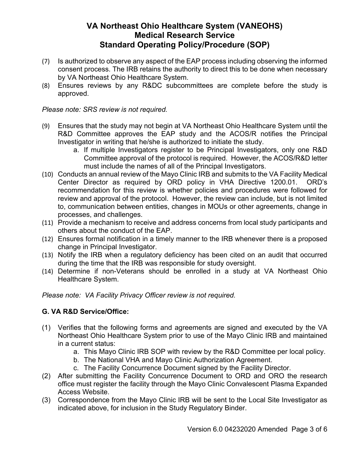- (7) Is authorized to observe any aspect of the EAP process including observing the informed consent process. The IRB retains the authority to direct this to be done when necessary by VA Northeast Ohio Healthcare System.
- (8) Ensures reviews by any R&DC subcommittees are complete before the study is approved.

*Please note: SRS review is not required.* 

- (9) Ensures that the study may not begin at VA Northeast Ohio Healthcare System until the R&D Committee approves the EAP study and the ACOS/R notifies the Principal Investigator in writing that he/she is authorized to initiate the study.
	- a. If multiple Investigators register to be Principal Investigators, only one R&D Committee approval of the protocol is required. However, the ACOS/R&D letter must include the names of all of the Principal Investigators.
- (10) Conducts an annual review of the Mayo Clinic IRB and submits to the VA Facility Medical Center Director as required by ORD policy in VHA Directive 1200.01. ORD's recommendation for this review is whether policies and procedures were followed for review and approval of the protocol. However, the review can include, but is not limited to, communication between entities, changes in MOUs or other agreements, change in processes, and challenges.
- (11) Provide a mechanism to receive and address concerns from local study participants and others about the conduct of the EAP.
- (12) Ensures formal notification in a timely manner to the IRB whenever there is a proposed change in Principal Investigator.
- (13) Notify the IRB when a regulatory deficiency has been cited on an audit that occurred during the time that the IRB was responsible for study oversight.
- (14) Determine if non-Veterans should be enrolled in a study at VA Northeast Ohio Healthcare System.

*Please note: VA Facility Privacy Officer review is not required.* 

### **G. VA R&D Service/Office:**

- (1) Verifies that the following forms and agreements are signed and executed by the VA Northeast Ohio Healthcare System prior to use of the Mayo Clinic IRB and maintained in a current status:
	- a. This Mayo Clinic IRB SOP with review by the R&D Committee per local policy.
	- b. The National VHA and Mayo Clinic Authorization Agreement.
	- c. The Facility Concurrence Document signed by the Facility Director.
- (2) After submitting the Facility Concurrence Document to ORD and ORO the research office must register the facility through the Mayo Clinic Convalescent Plasma Expanded Access Website.
- (3) Correspondence from the Mayo Clinic IRB will be sent to the Local Site Investigator as indicated above, for inclusion in the Study Regulatory Binder.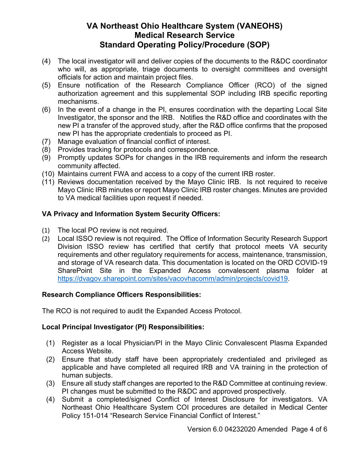- (4) The local investigator will and deliver copies of the documents to the R&DC coordinator who will, as appropriate, triage documents to oversight committees and oversight officials for action and maintain project files.
- (5) Ensure notification of the Research Compliance Officer (RCO) of the signed authorization agreement and this supplemental SOP including IRB specific reporting mechanisms.
- (6) In the event of a change in the PI, ensures coordination with the departing Local Site Investigator, the sponsor and the IRB. Notifies the R&D office and coordinates with the new PI a transfer of the approved study, after the R&D office confirms that the proposed new PI has the appropriate credentials to proceed as PI.
- (7) Manage evaluation of financial conflict of interest.
- (8) Provides tracking for protocols and correspondence.
- (9) Promptly updates SOPs for changes in the IRB requirements and inform the research community affected.
- (10) Maintains current FWA and access to a copy of the current IRB roster.
- (11) Reviews documentation received by the Mayo Clinic IRB. Is not required to receive Mayo Clinic IRB minutes or report Mayo Clinic IRB roster changes. Minutes are provided to VA medical facilities upon request if needed.

### **VA Privacy and Information System Security Officers:**

- (1) The local PO review is not required.
- (2) Local ISSO review is not required. The Office of Information Security Research Support Division ISSO review has certified that certify that protocol meets VA security requirements and other regulatory requirements for access, maintenance, transmission, and storage of VA research data. This documentation is located on the ORD COVID-19 SharePoint Site in the Expanded Access convalescent plasma folder at https://dvagov.sharepoint.com/sites/vacovhacomm/admin/projects/covid19.

### **Research Compliance Officers Responsibilities:**

The RCO is not required to audit the Expanded Access Protocol.

### **Local Principal Investigator (PI) Responsibilities:**

- (1) Register as a local Physician/PI in the Mayo Clinic Convalescent Plasma Expanded Access Website.
- (2) Ensure that study staff have been appropriately credentialed and privileged as applicable and have completed all required IRB and VA training in the protection of human subjects.
- (3) Ensure all study staff changes are reported to the R&D Committee at continuing review. PI changes must be submitted to the R&DC and approved prospectively.
- (4) Submit a completed/signed Conflict of Interest Disclosure for investigators. VA Northeast Ohio Healthcare System COI procedures are detailed in Medical Center Policy 151-014 "Research Service Financial Conflict of Interest."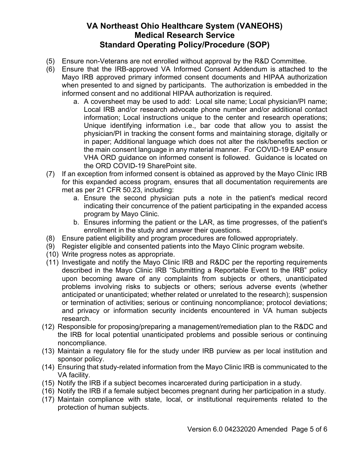- (5) Ensure non-Veterans are not enrolled without approval by the R&D Committee.
- (6) Ensure that the IRB-approved VA Informed Consent Addendum is attached to the Mayo IRB approved primary informed consent documents and HIPAA authorization when presented to and signed by participants. The authorization is embedded in the informed consent and no additional HIPAA authorization is required.
	- a. A coversheet may be used to add: Local site name; Local physician/PI name; Local IRB and/or research advocate phone number and/or additional contact information; Local instructions unique to the center and research operations; Unique identifying information i.e., bar code that allow you to assist the physician/PI in tracking the consent forms and maintaining storage, digitally or in paper; Additional language which does not alter the risk/benefits section or the main consent language in any material manner. For COVID-19 EAP ensure VHA ORD guidance on informed consent is followed. Guidance is located on the ORD COVID-19 SharePoint site.
- (7) If an exception from informed consent is obtained as approved by the Mayo Clinic IRB for this expanded access program, ensures that all documentation requirements are met as per 21 CFR 50.23, including:
	- a. Ensure the second physician puts a note in the patient's medical record indicating their concurrence of the patient participating in the expanded access program by Mayo Clinic.
	- b. Ensures informing the patient or the LAR, as time progresses, of the patient's enrollment in the study and answer their questions.
- (8) Ensure patient eligibility and program procedures are followed appropriately.
- (9) Register eligible and consented patients into the Mayo Clinic program website.
- (10) Write progress notes as appropriate.
- (11) Investigate and notify the Mayo Clinic IRB and R&DC per the reporting requirements described in the Mayo Clinic IRB "Submitting a Reportable Event to the IRB" policy upon becoming aware of any complaints from subjects or others, unanticipated problems involving risks to subjects or others; serious adverse events (whether anticipated or unanticipated; whether related or unrelated to the research); suspension or termination of activities; serious or continuing noncompliance; protocol deviations; and privacy or information security incidents encountered in VA human subjects research.
- (12) Responsible for proposing/preparing a management/remediation plan to the R&DC and the IRB for local potential unanticipated problems and possible serious or continuing noncompliance.
- (13) Maintain a regulatory file for the study under IRB purview as per local institution and sponsor policy.
- (14) Ensuring that study-related information from the Mayo Clinic IRB is communicated to the VA facility.
- (15) Notify the IRB if a subject becomes incarcerated during participation in a study.
- (16) Notify the IRB if a female subject becomes pregnant during her participation in a study.
- (17) Maintain compliance with state, local, or institutional requirements related to the protection of human subjects.